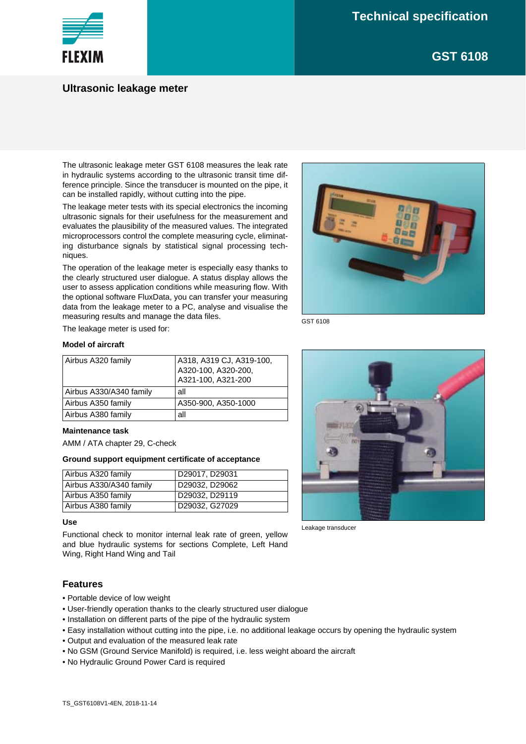**GST 6108**



## **Ultrasonic leakage meter**

The ultrasonic leakage meter GST 6108 measures the leak rate in hydraulic systems according to the ultrasonic transit time difference principle. Since the transducer is mounted on the pipe, it can be installed rapidly, without cutting into the pipe.

The leakage meter tests with its special electronics the incoming ultrasonic signals for their usefulness for the measurement and evaluates the plausibility of the measured values. The integrated microprocessors control the complete measuring cycle, eliminating disturbance signals by statistical signal processing techniques.

The operation of the leakage meter is especially easy thanks to the clearly structured user dialogue. A status display allows the user to assess application conditions while measuring flow. With the optional software FluxData, you can transfer your measuring data from the leakage meter to a PC, analyse and visualise the measuring results and manage the data files.

GST 6108

The leakage meter is used for:

### **Model of aircraft**

| Airbus A320 family      | A318, A319 CJ, A319-100, |
|-------------------------|--------------------------|
|                         | A320-100, A320-200,      |
|                         | A321-100, A321-200       |
| Airbus A330/A340 family | all                      |
| Airbus A350 family      | A350-900, A350-1000      |
| Airbus A380 family      | all                      |

#### **Maintenance task**

AMM / ATA chapter 29, C-check

#### **Ground support equipment certificate of acceptance**

| Airbus A320 family      | D29017, D29031 |
|-------------------------|----------------|
| Airbus A330/A340 family | D29032, D29062 |
| Airbus A350 family      | D29032, D29119 |
| Airbus A380 family      | D29032, G27029 |

#### **Use**

Functional check to monitor internal leak rate of green, yellow and blue hydraulic systems for sections Complete, Left Hand Wing, Right Hand Wing and Tail

## **Features**

- Portable device of low weight
- User-friendly operation thanks to the clearly structured user dialogue
- Installation on different parts of the pipe of the hydraulic system
- Easy installation without cutting into the pipe, i.e. no additional leakage occurs by opening the hydraulic system
- Output and evaluation of the measured leak rate
- No GSM (Ground Service Manifold) is required, i.e. less weight aboard the aircraft
- No Hydraulic Ground Power Card is required



Leakage transducer